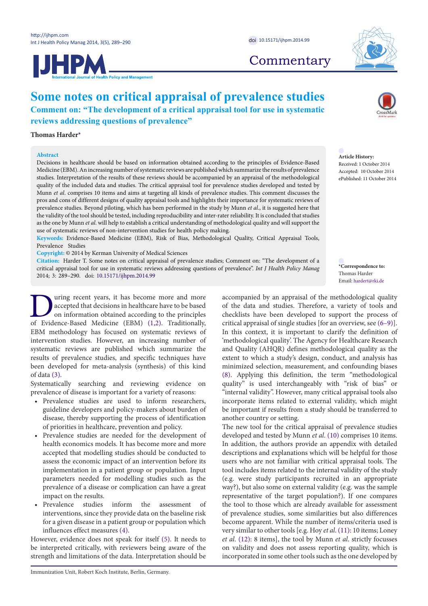**Commentary** 



# **Some notes on critical appraisal of prevalence studies Comment on: "The development of a critical appraisal tool for use in systematic**

**reviews addressing questions of prevalence"**

## **Thomas Harder[\\*](#page-0-0)**

## **Abstract**

Decisions in healthcare should be based on information obtained according to the principles of Evidence-Based Medicine (EBM). An increasing number of systematic reviews are published which summarize the results of prevalence studies. Interpretation of the results of these reviews should be accompanied by an appraisal of the methodological quality of the included data and studies. The critical appraisal tool for prevalence studies developed and tested by Munn *et al*. comprises 10 items and aims at targeting all kinds of prevalence studies. This comment discusses the pros and cons of different designs of quality appraisal tools and highlights their importance for systematic reviews of prevalence studies. Beyond piloting, which has been performed in the study by Munn *et al*., it is suggested here that the validity of the tool should be tested, including reproducibility and inter-rater reliability. It is concluded that studies as the one by Munn *et al*. will help to establish a critical understanding of methodological quality and will support the use of systematic reviews of non-intervention studies for health policy making.

**Keywords:** Evidence-Based Medicine (EBM), Risk of Bias, Methodological Quality, Critical Appraisal Tools, Prevalence Studies

**Copyright:** © 2014 by Kerman University of Medical Sciences

**Citation:** Harder T. Some notes on critical appraisal of prevalence studies; Comment on: "The development of a critical appraisal tool for use in systematic reviews addressing questions of prevalence". *Int J Health Policy Manag*  2014; 3: 289–290. doi: [10.15171/ijhpm.2014.99](http://dx.doi.org/10.15171/ijhpm.2014.99)

I uring recent years, it has become more and more<br>accepted that decisions in healthcare have to be based<br>on information obtained according to the principles<br>of Evidence-Based Medicine (EBM) (1,2). Traditionally, accepted that decisions in healthcare have to be based on information obtained according to the principles of Evidence-Based Medicine (EBM) (1,2). Traditionally, EBM methodology has focused on systematic reviews of intervention studies. However, an increasing number of systematic reviews are published which summarize the results of prevalence studies, and specific techniques have been developed for meta-analysis (synthesis) of this kind of data [\(3](#page-1-2)).

Systematically searching and reviewing evidence on prevalence of disease is important for a variety of reasons:

- Prevalence studies are used to inform researchers, guideline developers and policy-makers about burden of disease, thereby supporting the process of identification of priorities in healthcare, prevention and policy.
- Prevalence studies are needed for the development of health economics models. It has become more and more accepted that modelling studies should be conducted to assess the economic impact of an intervention before its implementation in a patient group or population. Input parameters needed for modelling studies such as the prevalence of a disease or complication can have a great impact on the results.
- Prevalence studies inform the assessment of interventions, since they provide data on the baseline risk for a given disease in a patient group or population which influences effect measures ([4](#page-1-3)).

However, evidence does not speak for itself [\(5](#page-1-4)). It needs to be interpreted critically, with reviewers being aware of the strength and limitations of the data. Interpretation should be



**Article History:** Received: 1 October 2014 Accepted: 10 October 2014 ePublished: 11 October 2014

<span id="page-0-0"></span>**\*Correspondence to:** Thomas Harder Email: hardert@rki.de

accompanied by an appraisal of the methodological quality of the data and studies. Therefore, a variety of tools and checklists have been developed to support the process of critical appraisal of single studies [for an overview, see ([6–](#page-1-5)[9\)](#page-1-6)]. In this context, it is important to clarify the definition of 'methodological quality'. The Agency for Healthcare Research and Quality (AHQR) defines methodological quality as the extent to which a study's design, conduct, and analysis has minimized selection, measurement, and confounding biases [\(8](#page-1-7)). Applying this definition, the term "methodological quality" is used interchangeably with "risk of bias" or "internal validity". However, many critical appraisal tools also incorporate items related to external validity, which might be important if results from a study should be transferred to another country or setting.

The new tool for the critical appraisal of prevalence studies developed and tested by Munn *et al*. ([10](#page-1-8)) comprises 10 items. In addition, the authors provide an appendix with detailed descriptions and explanations which will be helpful for those users who are not familiar with critical appraisal tools. The tool includes items related to the internal validity of the study (e.g. were study participants recruited in an appropriate way?), but also some on external validity (e.g. was the sample representative of the target population?). If one compares the tool to those which are already available for assessment of prevalence studies, some similarities but also differences become apparent. While the number of items/criteria used is very similar to other tools [e.g. Hoy *et al*. ([11](#page-1-9)): 10 items; Loney *et al*. [\(12\)](#page-1-10): 8 items], the tool by Munn *et al*. strictly focusses on validity and does not assess reporting quality, which is incorporated in some other tools such as the one developed by